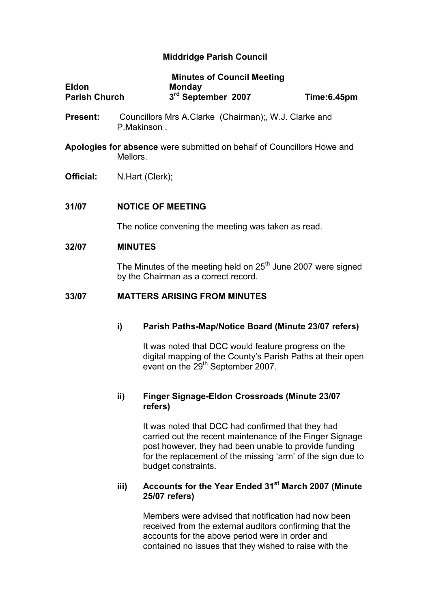# Middridge Parish Council

|                      | <b>Minutes of Council Meeting</b> |             |
|----------------------|-----------------------------------|-------------|
| <b>Eldon</b>         | <b>Monday</b>                     |             |
| <b>Parish Church</b> | 3 <sup>rd</sup> September 2007    | Time:6.45pm |

**Present:** Councillors Mrs A.Clarke (Chairman);, W.J. Clarke and P.Makinson .

Apologies for absence were submitted on behalf of Councillors Howe and Mellors.

**Official:** N.Hart (Clerk);

### 31/07 NOTICE OF MEETING

The notice convening the meeting was taken as read.

#### 32/07 MINUTES

The Minutes of the meeting held on  $25<sup>th</sup>$  June 2007 were signed by the Chairman as a correct record.

### 33/07 MATTERS ARISING FROM MINUTES

## i) Parish Paths-Map/Notice Board (Minute 23/07 refers)

 It was noted that DCC would feature progress on the digital mapping of the County's Parish Paths at their open event on the 29<sup>th</sup> September 2007.

## ii) Finger Signage-Eldon Crossroads (Minute 23/07 refers)

It was noted that DCC had confirmed that they had carried out the recent maintenance of the Finger Signage post however, they had been unable to provide funding for the replacement of the missing 'arm' of the sign due to budget constraints.

## iii) Accounts for the Year Ended 31<sup>st</sup> March 2007 (Minute 25/07 refers)

Members were advised that notification had now been received from the external auditors confirming that the accounts for the above period were in order and contained no issues that they wished to raise with the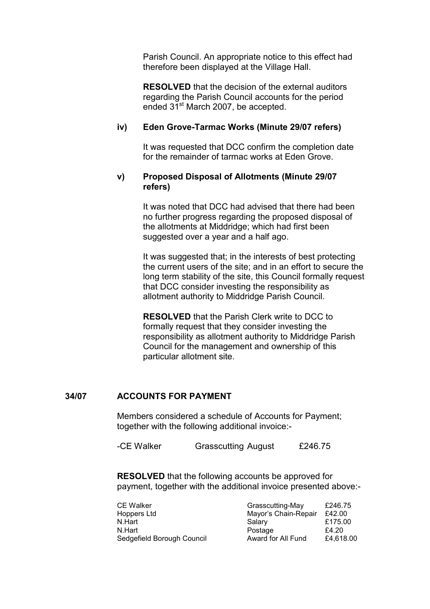Parish Council. An appropriate notice to this effect had therefore been displayed at the Village Hall.

RESOLVED that the decision of the external auditors regarding the Parish Council accounts for the period ended 31<sup>st</sup> March 2007, be accepted.

### iv) Eden Grove-Tarmac Works (Minute 29/07 refers)

It was requested that DCC confirm the completion date for the remainder of tarmac works at Eden Grove.

### v) Proposed Disposal of Allotments (Minute 29/07 refers)

It was noted that DCC had advised that there had been no further progress regarding the proposed disposal of the allotments at Middridge; which had first been suggested over a year and a half ago.

It was suggested that; in the interests of best protecting the current users of the site; and in an effort to secure the long term stability of the site, this Council formally request that DCC consider investing the responsibility as allotment authority to Middridge Parish Council.

RESOLVED that the Parish Clerk write to DCC to formally request that they consider investing the responsibility as allotment authority to Middridge Parish Council for the management and ownership of this particular allotment site.

## 34/07 ACCOUNTS FOR PAYMENT

Members considered a schedule of Accounts for Payment; together with the following additional invoice:-

-CE Walker Grasscutting August £246.75

RESOLVED that the following accounts be approved for payment, together with the additional invoice presented above:-

| <b>CE Walker</b>           | Grasscutting-May     | £246.75   |
|----------------------------|----------------------|-----------|
| Hoppers Ltd                | Mayor's Chain-Repair | £42.00    |
| N.Hart                     | Salary               | £175.00   |
| N.Hart                     | Postage              | £4.20     |
| Sedgefield Borough Council | Award for All Fund   | £4,618.00 |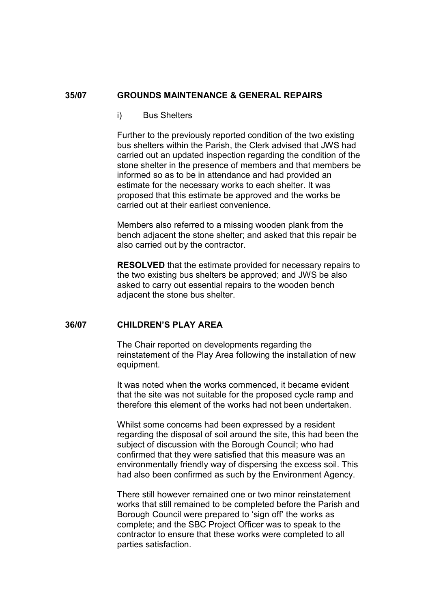#### 35/07 GROUNDS MAINTENANCE & GENERAL REPAIRS

#### i) Bus Shelters

Further to the previously reported condition of the two existing bus shelters within the Parish, the Clerk advised that JWS had carried out an updated inspection regarding the condition of the stone shelter in the presence of members and that members be informed so as to be in attendance and had provided an estimate for the necessary works to each shelter. It was proposed that this estimate be approved and the works be carried out at their earliest convenience.

Members also referred to a missing wooden plank from the bench adjacent the stone shelter; and asked that this repair be also carried out by the contractor.

RESOLVED that the estimate provided for necessary repairs to the two existing bus shelters be approved; and JWS be also asked to carry out essential repairs to the wooden bench adjacent the stone bus shelter.

### 36/07 CHILDREN'S PLAY AREA

The Chair reported on developments regarding the reinstatement of the Play Area following the installation of new equipment.

It was noted when the works commenced, it became evident that the site was not suitable for the proposed cycle ramp and therefore this element of the works had not been undertaken.

Whilst some concerns had been expressed by a resident regarding the disposal of soil around the site, this had been the subject of discussion with the Borough Council; who had confirmed that they were satisfied that this measure was an environmentally friendly way of dispersing the excess soil. This had also been confirmed as such by the Environment Agency.

There still however remained one or two minor reinstatement works that still remained to be completed before the Parish and Borough Council were prepared to 'sign off' the works as complete; and the SBC Project Officer was to speak to the contractor to ensure that these works were completed to all parties satisfaction.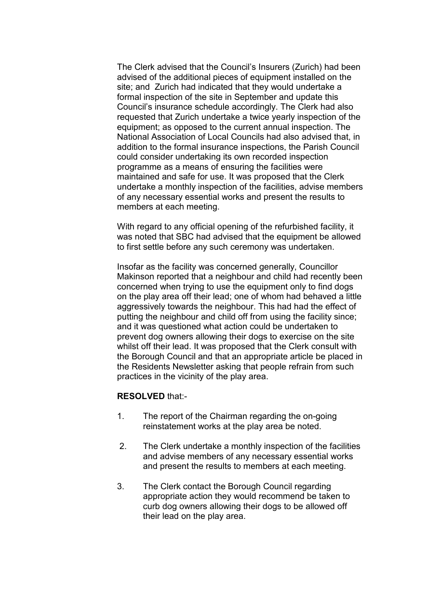The Clerk advised that the Council's Insurers (Zurich) had been advised of the additional pieces of equipment installed on the site; and Zurich had indicated that they would undertake a formal inspection of the site in September and update this Council's insurance schedule accordingly. The Clerk had also requested that Zurich undertake a twice yearly inspection of the equipment; as opposed to the current annual inspection. The National Association of Local Councils had also advised that, in addition to the formal insurance inspections, the Parish Council could consider undertaking its own recorded inspection programme as a means of ensuring the facilities were maintained and safe for use. It was proposed that the Clerk undertake a monthly inspection of the facilities, advise members of any necessary essential works and present the results to members at each meeting.

With regard to any official opening of the refurbished facility, it was noted that SBC had advised that the equipment be allowed to first settle before any such ceremony was undertaken.

Insofar as the facility was concerned generally, Councillor Makinson reported that a neighbour and child had recently been concerned when trying to use the equipment only to find dogs on the play area off their lead; one of whom had behaved a little aggressively towards the neighbour. This had had the effect of putting the neighbour and child off from using the facility since; and it was questioned what action could be undertaken to prevent dog owners allowing their dogs to exercise on the site whilst off their lead. It was proposed that the Clerk consult with the Borough Council and that an appropriate article be placed in the Residents Newsletter asking that people refrain from such practices in the vicinity of the play area.

#### RESOLVED that:-

- 1. The report of the Chairman regarding the on-going reinstatement works at the play area be noted.
- 2. The Clerk undertake a monthly inspection of the facilities and advise members of any necessary essential works and present the results to members at each meeting.
- 3. The Clerk contact the Borough Council regarding appropriate action they would recommend be taken to curb dog owners allowing their dogs to be allowed off their lead on the play area.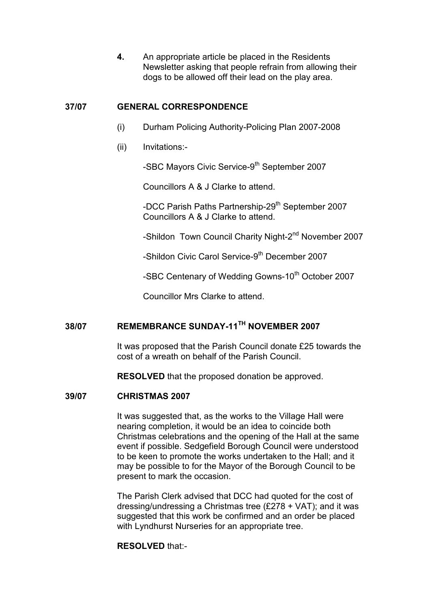4. An appropriate article be placed in the Residents Newsletter asking that people refrain from allowing their dogs to be allowed off their lead on the play area.

## 37/07 GENERAL CORRESPONDENCE

- (i) Durham Policing Authority-Policing Plan 2007-2008
- (ii) Invitations:-

-SBC Mayors Civic Service-9<sup>th</sup> September 2007

Councillors A & J Clarke to attend.

-DCC Parish Paths Partnership-29<sup>th</sup> September 2007 Councillors A & J Clarke to attend.

-Shildon Town Council Charity Night-2<sup>nd</sup> November 2007

-Shildon Civic Carol Service-9<sup>th</sup> December 2007

-SBC Centenary of Wedding Gowns-10<sup>th</sup> October 2007

Councillor Mrs Clarke to attend.

# 38/07 REMEMBRANCE SUNDAY-11TH NOVEMBER 2007

It was proposed that the Parish Council donate £25 towards the cost of a wreath on behalf of the Parish Council.

RESOLVED that the proposed donation be approved.

#### 39/07 CHRISTMAS 2007

It was suggested that, as the works to the Village Hall were nearing completion, it would be an idea to coincide both Christmas celebrations and the opening of the Hall at the same event if possible. Sedgefield Borough Council were understood to be keen to promote the works undertaken to the Hall; and it may be possible to for the Mayor of the Borough Council to be present to mark the occasion.

 The Parish Clerk advised that DCC had quoted for the cost of dressing/undressing a Christmas tree (£278 + VAT); and it was suggested that this work be confirmed and an order be placed with Lyndhurst Nurseries for an appropriate tree.

#### RESOLVED that:-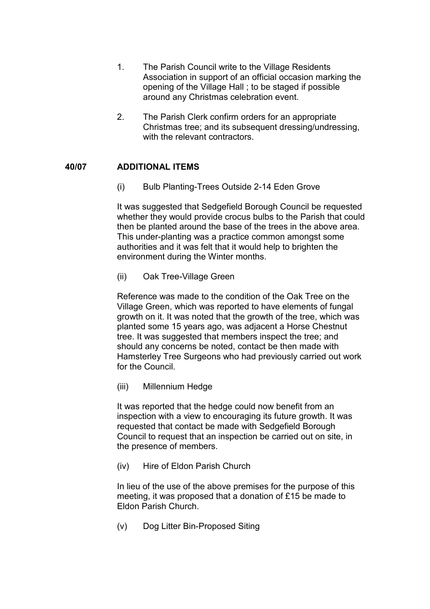- 1. The Parish Council write to the Village Residents Association in support of an official occasion marking the opening of the Village Hall ; to be staged if possible around any Christmas celebration event.
- 2. The Parish Clerk confirm orders for an appropriate Christmas tree; and its subsequent dressing/undressing, with the relevant contractors.

# 40/07 ADDITIONAL ITEMS

(i) Bulb Planting-Trees Outside 2-14 Eden Grove

It was suggested that Sedgefield Borough Council be requested whether they would provide crocus bulbs to the Parish that could then be planted around the base of the trees in the above area. This under-planting was a practice common amongst some authorities and it was felt that it would help to brighten the environment during the Winter months.

(ii) Oak Tree-Village Green

Reference was made to the condition of the Oak Tree on the Village Green, which was reported to have elements of fungal growth on it. It was noted that the growth of the tree, which was planted some 15 years ago, was adjacent a Horse Chestnut tree. It was suggested that members inspect the tree; and should any concerns be noted, contact be then made with Hamsterley Tree Surgeons who had previously carried out work for the Council.

(iii) Millennium Hedge

It was reported that the hedge could now benefit from an inspection with a view to encouraging its future growth. It was requested that contact be made with Sedgefield Borough Council to request that an inspection be carried out on site, in the presence of members.

(iv) Hire of Eldon Parish Church

In lieu of the use of the above premises for the purpose of this meeting, it was proposed that a donation of £15 be made to Eldon Parish Church.

(v) Dog Litter Bin-Proposed Siting